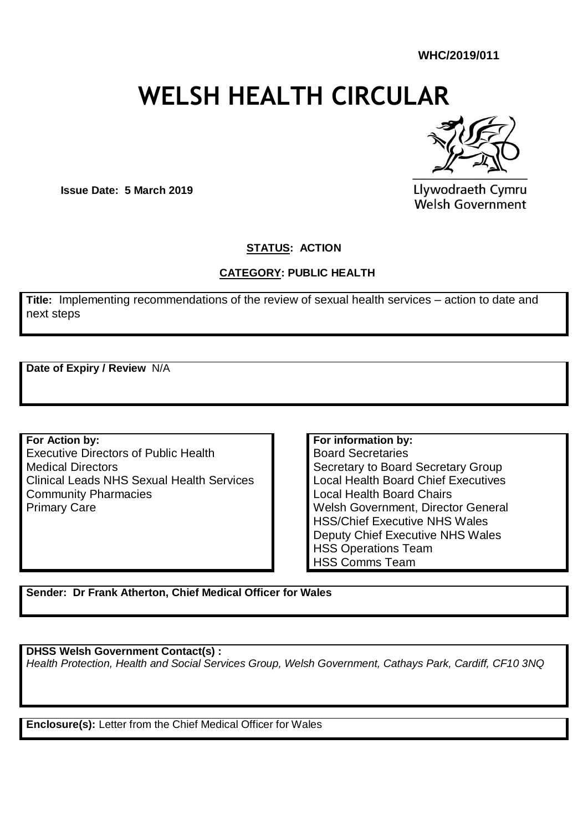**WHC/2019/011**

# **WELSH HEALTH CIRCULAR**



**Issue Date: 5 March 2019**

Llywodraeth Cymru **Welsh Government** 

#### **STATUS: ACTION**

#### **CATEGORY: PUBLIC HEALTH**

**Title:** Implementing recommendations of the review of sexual health services – action to date and next steps

**Date of Expiry / Review** N/A

**For Action by:** Executive Directors of Public Health Medical Directors Clinical Leads NHS Sexual Health Services Community Pharmacies Primary Care

**For information by:** Board Secretaries Secretary to Board Secretary Group Local Health Board Chief Executives Local Health Board Chairs Welsh Government, Director General HSS/Chief Executive NHS Wales Deputy Chief Executive NHS Wales HSS Operations Team HSS Comms Team

**Sender: Dr Frank Atherton, Chief Medical Officer for Wales**

**DHSS Welsh Government Contact(s) :** 

*Health Protection, Health and Social Services Group, Welsh Government, Cathays Park, Cardiff, CF10 3NQ*

**Enclosure(s):** Letter from the Chief Medical Officer for Wales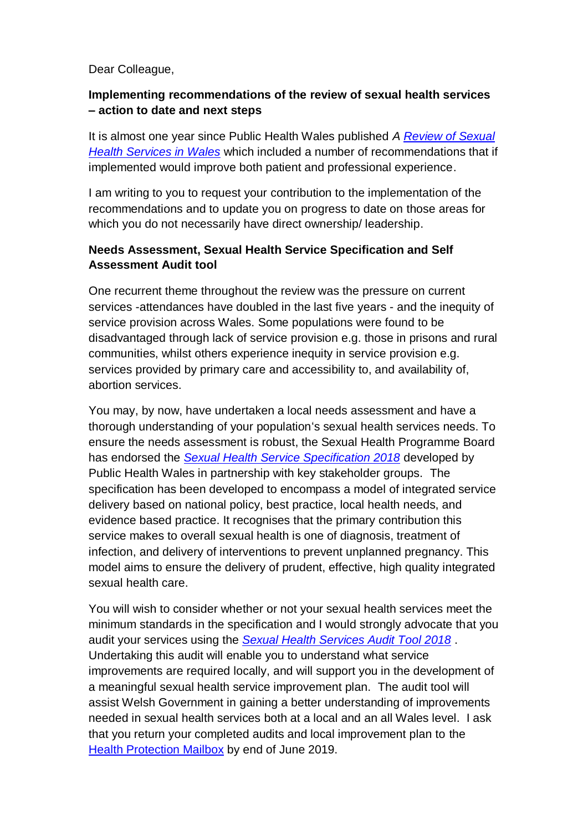#### Dear Colleague,

#### **Implementing recommendations of the review of sexual health services – action to date and next steps**

It is almost one year since Public Health Wales published *A [Review of Sexual](http://www.wales.nhs.uk/sitesplus/888/page/71723)  [Health Services in Wales](http://www.wales.nhs.uk/sitesplus/888/page/71723)* which included a number of recommendations that if implemented would improve both patient and professional experience.

I am writing to you to request your contribution to the implementation of the recommendations and to update you on progress to date on those areas for which you do not necessarily have direct ownership/ leadership.

#### **Needs Assessment, Sexual Health Service Specification and Self Assessment Audit tool**

One recurrent theme throughout the review was the pressure on current services -attendances have doubled in the last five years - and the inequity of service provision across Wales. Some populations were found to be disadvantaged through lack of service provision e.g. those in prisons and rural communities, whilst others experience inequity in service provision e.g. services provided by primary care and accessibility to, and availability of, abortion services.

You may, by now, have undertaken a local needs assessment and have a thorough understanding of your population's sexual health services needs. To ensure the needs assessment is robust, the Sexual Health Programme Board has endorsed the *[Sexual Health Service Specification 2018](http://www.wales.nhs.uk/sitesplus/888/document/341439)* developed by Public Health Wales in partnership with key stakeholder groups. The specification has been developed to encompass a model of integrated service delivery based on national policy, best practice, local health needs, and evidence based practice. It recognises that the primary contribution this service makes to overall sexual health is one of diagnosis, treatment of infection, and delivery of interventions to prevent unplanned pregnancy. This model aims to ensure the delivery of prudent, effective, high quality integrated sexual health care.

You will wish to consider whether or not your sexual health services meet the minimum standards in the specification and I would strongly advocate that you audit your services using the *[Sexual Health Services Audit Tool 2018](http://www.wales.nhs.uk/sitesplus/888/opendoc/341440)* . Undertaking this audit will enable you to understand what service improvements are required locally, and will support you in the development of a meaningful sexual health service improvement plan. The audit tool will assist Welsh Government in gaining a better understanding of improvements needed in sexual health services both at a local and an all Wales level. I ask that you return your completed audits and local improvement plan to the Health [Protection Mailbox](mailto:healthprotection@gov.wales) by end of June 2019.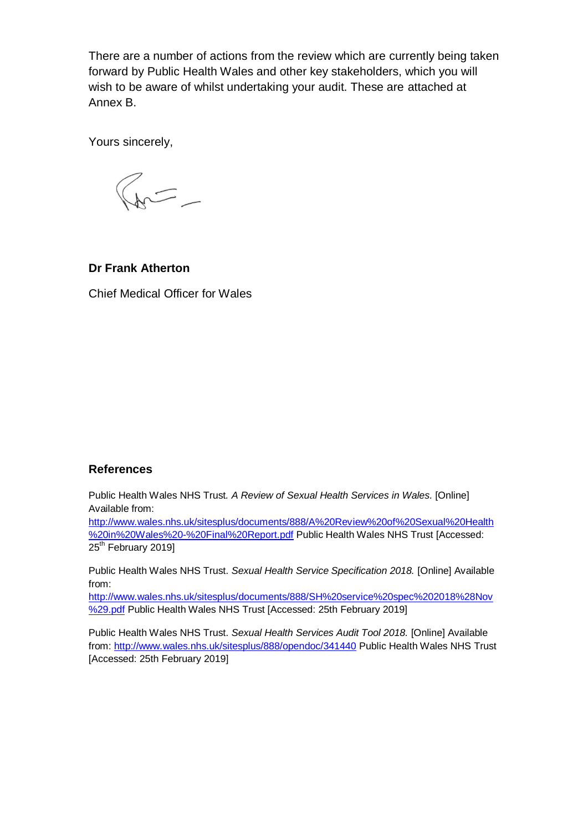There are a number of actions from the review which are currently being taken forward by Public Health Wales and other key stakeholders, which you will wish to be aware of whilst undertaking your audit. These are attached at Annex B.

Yours sincerely,

 $\frac{1}{2}$ 

#### **Dr Frank Atherton**

Chief Medical Officer for Wales

#### **References**

Public Health Wales NHS Trust*. A Review of Sexual Health Services in Wales.* [Online] Available from:

[http://www.wales.nhs.uk/sitesplus/documents/888/A%20Review%20of%20Sexual%20Health](http://www.wales.nhs.uk/sitesplus/documents/888/A%20Review%20of%20Sexual%20Health%20in%20Wales%20-%20Final%20Report.pdf) [%20in%20Wales%20-%20Final%20Report.pdf](http://www.wales.nhs.uk/sitesplus/documents/888/A%20Review%20of%20Sexual%20Health%20in%20Wales%20-%20Final%20Report.pdf) Public Health Wales NHS Trust [Accessed: 25<sup>th</sup> February 2019]

Public Health Wales NHS Trust. *Sexual Health Service Specification 2018.* [Online] Available from:

[http://www.wales.nhs.uk/sitesplus/documents/888/SH%20service%20spec%202018%28Nov](http://www.wales.nhs.uk/sitesplus/documents/888/SH%20service%20spec%202018%28Nov%29.pdf) [%29.pdf](http://www.wales.nhs.uk/sitesplus/documents/888/SH%20service%20spec%202018%28Nov%29.pdf) Public Health Wales NHS Trust [Accessed: 25th February 2019]

Public Health Wales NHS Trust. *Sexual Health Services Audit Tool 2018.* [Online] Available from:<http://www.wales.nhs.uk/sitesplus/888/opendoc/341440> Public Health Wales NHS Trust [Accessed: 25th February 2019]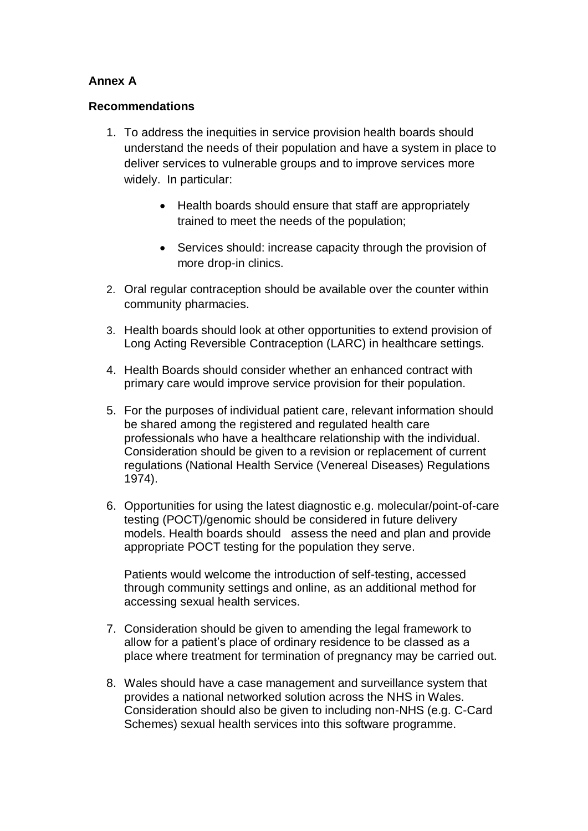#### **Annex A**

#### **Recommendations**

- 1. To address the inequities in service provision health boards should understand the needs of their population and have a system in place to deliver services to vulnerable groups and to improve services more widely. In particular:
	- Health boards should ensure that staff are appropriately trained to meet the needs of the population;
	- Services should: increase capacity through the provision of more drop-in clinics.
- 2. Oral regular contraception should be available over the counter within community pharmacies.
- 3. Health boards should look at other opportunities to extend provision of Long Acting Reversible Contraception (LARC) in healthcare settings.
- 4. Health Boards should consider whether an enhanced contract with primary care would improve service provision for their population.
- 5. For the purposes of individual patient care, relevant information should be shared among the registered and regulated health care professionals who have a healthcare relationship with the individual. Consideration should be given to a revision or replacement of current regulations (National Health Service (Venereal Diseases) Regulations 1974).
- 6. Opportunities for using the latest diagnostic e.g. molecular/point-of-care testing (POCT)/genomic should be considered in future delivery models. Health boards should assess the need and plan and provide appropriate POCT testing for the population they serve.

Patients would welcome the introduction of self-testing, accessed through community settings and online, as an additional method for accessing sexual health services.

- 7. Consideration should be given to amending the legal framework to allow for a patient's place of ordinary residence to be classed as a place where treatment for termination of pregnancy may be carried out.
- 8. Wales should have a case management and surveillance system that provides a national networked solution across the NHS in Wales. Consideration should also be given to including non-NHS (e.g. C-Card Schemes) sexual health services into this software programme.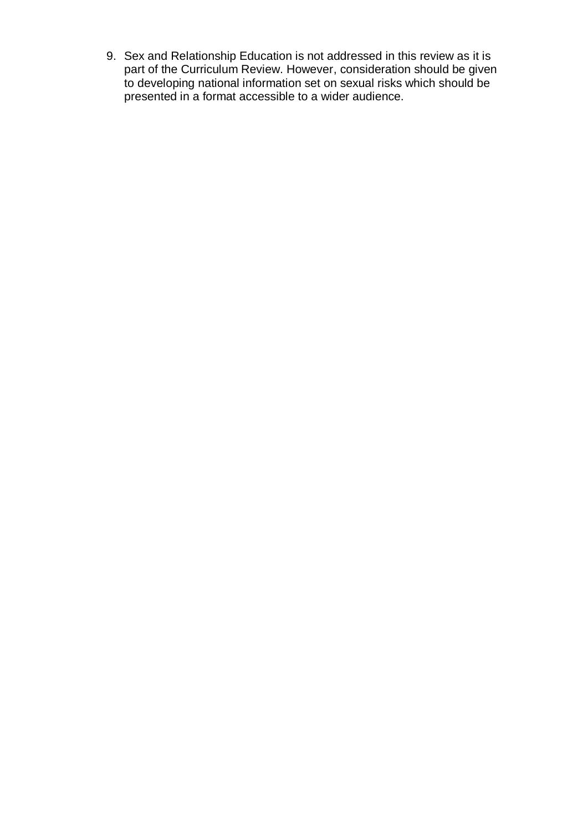9. Sex and Relationship Education is not addressed in this review as it is part of the Curriculum Review. However, consideration should be given to developing national information set on sexual risks which should be presented in a format accessible to a wider audience.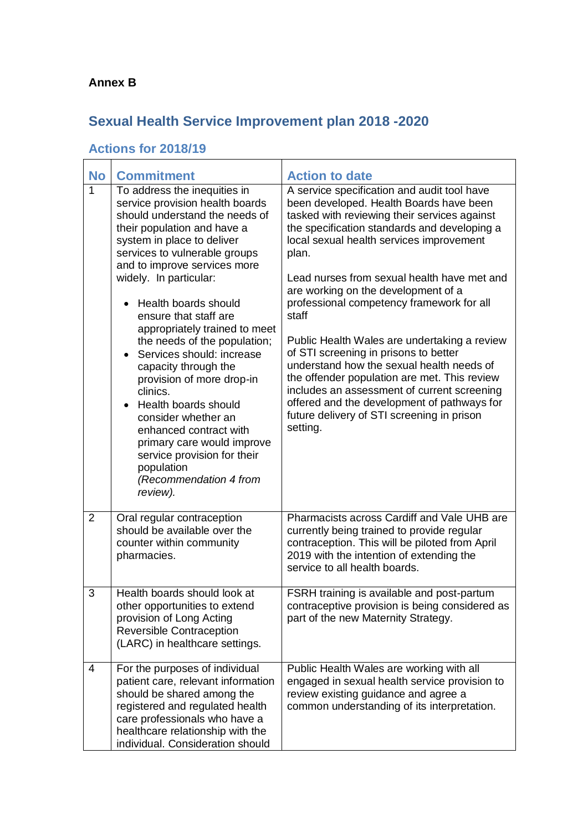#### **Annex B**

## **Sexual Health Service Improvement plan 2018 -2020**

### **Actions for 2018/19**

| <b>No</b>      | <b>Commitment</b>                                                                                                                                                                                                                                                                                                                                                                                                                                                                                                                                                                                                                                                                                          | <b>Action to date</b>                                                                                                                                                                                                                                                                                                                                                                                                                                                                                                                                                                                                                                                                                                                 |
|----------------|------------------------------------------------------------------------------------------------------------------------------------------------------------------------------------------------------------------------------------------------------------------------------------------------------------------------------------------------------------------------------------------------------------------------------------------------------------------------------------------------------------------------------------------------------------------------------------------------------------------------------------------------------------------------------------------------------------|---------------------------------------------------------------------------------------------------------------------------------------------------------------------------------------------------------------------------------------------------------------------------------------------------------------------------------------------------------------------------------------------------------------------------------------------------------------------------------------------------------------------------------------------------------------------------------------------------------------------------------------------------------------------------------------------------------------------------------------|
| 1              | To address the inequities in<br>service provision health boards<br>should understand the needs of<br>their population and have a<br>system in place to deliver<br>services to vulnerable groups<br>and to improve services more<br>widely. In particular:<br>Health boards should<br>$\bullet$<br>ensure that staff are<br>appropriately trained to meet<br>the needs of the population;<br>Services should: increase<br>$\bullet$<br>capacity through the<br>provision of more drop-in<br>clinics.<br>Health boards should<br>$\bullet$<br>consider whether an<br>enhanced contract with<br>primary care would improve<br>service provision for their<br>population<br>(Recommendation 4 from<br>review). | A service specification and audit tool have<br>been developed. Health Boards have been<br>tasked with reviewing their services against<br>the specification standards and developing a<br>local sexual health services improvement<br>plan.<br>Lead nurses from sexual health have met and<br>are working on the development of a<br>professional competency framework for all<br>staff<br>Public Health Wales are undertaking a review<br>of STI screening in prisons to better<br>understand how the sexual health needs of<br>the offender population are met. This review<br>includes an assessment of current screening<br>offered and the development of pathways for<br>future delivery of STI screening in prison<br>setting. |
| $\overline{2}$ | Oral regular contraception<br>should be available over the<br>counter within community<br>pharmacies.                                                                                                                                                                                                                                                                                                                                                                                                                                                                                                                                                                                                      | Pharmacists across Cardiff and Vale UHB are<br>currently being trained to provide regular<br>contraception. This will be piloted from April<br>2019 with the intention of extending the<br>service to all health boards.                                                                                                                                                                                                                                                                                                                                                                                                                                                                                                              |
| 3              | Health boards should look at<br>other opportunities to extend<br>provision of Long Acting<br>Reversible Contraception<br>(LARC) in healthcare settings.                                                                                                                                                                                                                                                                                                                                                                                                                                                                                                                                                    | FSRH training is available and post-partum<br>contraceptive provision is being considered as<br>part of the new Maternity Strategy.                                                                                                                                                                                                                                                                                                                                                                                                                                                                                                                                                                                                   |
| 4              | For the purposes of individual<br>patient care, relevant information<br>should be shared among the<br>registered and regulated health<br>care professionals who have a<br>healthcare relationship with the<br>individual. Consideration should                                                                                                                                                                                                                                                                                                                                                                                                                                                             | Public Health Wales are working with all<br>engaged in sexual health service provision to<br>review existing guidance and agree a<br>common understanding of its interpretation.                                                                                                                                                                                                                                                                                                                                                                                                                                                                                                                                                      |